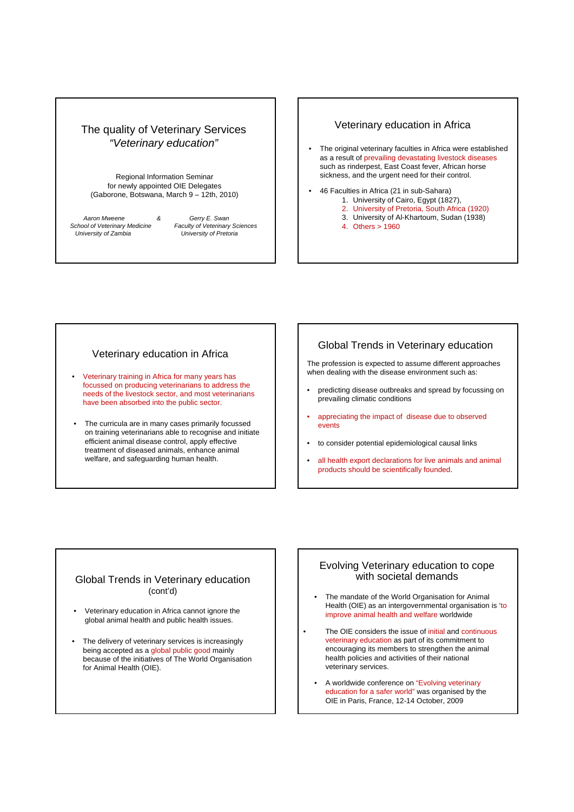# The quality of Veterinary Services *"Veterinary education"*

Regional Information Seminar for newly appointed OIE Delegates (Gaborone, Botswana, March 9 – 12th, 2010)

*Aaron Mweene & School of Veterinary Medicine University of Zambia* 

*Gerry E. Swan Faculty of Veterinary Sciences University of Pretoria*

## Veterinary education in Africa

- The original veterinary faculties in Africa were established as a result of prevailing devastating livestock diseases such as rinderpest, East Coast fever, African horse sickness, and the urgent need for their control.
- 46 Faculties in Africa (21 in sub-Sahara) 1. University of Cairo, Egypt (1827), 2. University of Pretoria, South Africa (1920)
	- 3. University of Al-Khartoum, Sudan (1938)
	- 4. Others > 1960

# Veterinary education in Africa

- Veterinary training in Africa for many years has focussed on producing veterinarians to address the needs of the livestock sector, and most veterinarians have been absorbed into the public sector.
- The curricula are in many cases primarily focussed on training veterinarians able to recognise and initiate efficient animal disease control, apply effective treatment of diseased animals, enhance animal welfare, and safeguarding human health.

# Global Trends in Veterinary education

The profession is expected to assume different approaches when dealing with the disease environment such as:

- predicting disease outbreaks and spread by focussing on prevailing climatic conditions
- appreciating the impact of disease due to observed events
- to consider potential epidemiological causal links
- all health export declarations for live animals and animal products should be scientifically founded.

## Global Trends in Veterinary education (cont'd)

- Veterinary education in Africa cannot ignore the global animal health and public health issues.
- The delivery of veterinary services is increasingly being accepted as a global public good mainly because of the initiatives of The World Organisation for Animal Health (OIE).

## Evolving Veterinary education to cope with societal demands

- The mandate of the World Organisation for Animal Health (OIE) as an intergovernmental organisation is 'to improve animal health and welfare worldwide
- The OIE considers the issue of initial and continuous veterinary education as part of its commitment to encouraging its members to strengthen the animal health policies and activities of their national veterinary services.
	- A worldwide conference on "Evolving veterinary education for a safer world" was organised by the OIE in Paris, France, 12-14 October, 2009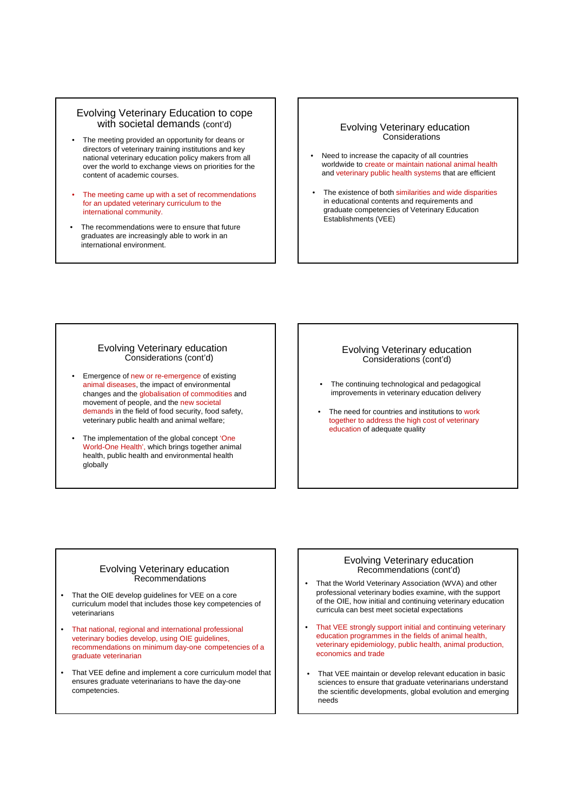# Evolving Veterinary Education to cope with societal demands (cont'd) **Example 2** Evolving Veterinary education

- The meeting provided an opportunity for deans or directors of veterinary training institutions and key national veterinary education policy makers from all over the world to exchange views on priorities for the content of academic courses.
- The meeting came up with a set of recommendations for an updated veterinary curriculum to the international community.
- The recommendations were to ensure that future graduates are increasingly able to work in an international environment.

# **Considerations**

- Need to increase the capacity of all countries worldwide to create or maintain national animal health and veterinary public health systems that are efficient
- The existence of both similarities and wide disparities in educational contents and requirements and graduate competencies of Veterinary Education Establishments (VEE)

#### Evolving Veterinary education Considerations (cont'd)

- Emergence of new or re-emergence of existing animal diseases, the impact of environmental changes and the globalisation of commodities and movement of people, and the new societal demands in the field of food security, food safety, veterinary public health and animal welfare;
- The implementation of the global concept 'One World-One Health', which brings together animal health, public health and environmental health globally

#### Evolving Veterinary education Considerations (cont'd)

- The continuing technological and pedagogical improvements in veterinary education delivery
- The need for countries and institutions to work together to address the high cost of veterinary education of adequate quality

#### Evolving Veterinary education Recommendations

- That the OIE develop guidelines for VEE on a core curriculum model that includes those key competencies of veterinarians
- That national, regional and international professional veterinary bodies develop, using OIE guidelines, recommendations on minimum day-one competencies of a graduate veterinarian
- That VEE define and implement a core curriculum model that ensures graduate veterinarians to have the day-one competencies.

#### Evolving Veterinary education Recommendations (cont'd)

- That the World Veterinary Association (WVA) and other professional veterinary bodies examine, with the support of the OIE, how initial and continuing veterinary education curricula can best meet societal expectations
- That VEE strongly support initial and continuing veterinary education programmes in the fields of animal health, veterinary epidemiology, public health, animal production, economics and trade
- That VEE maintain or develop relevant education in basic sciences to ensure that graduate veterinarians understand the scientific developments, global evolution and emerging needs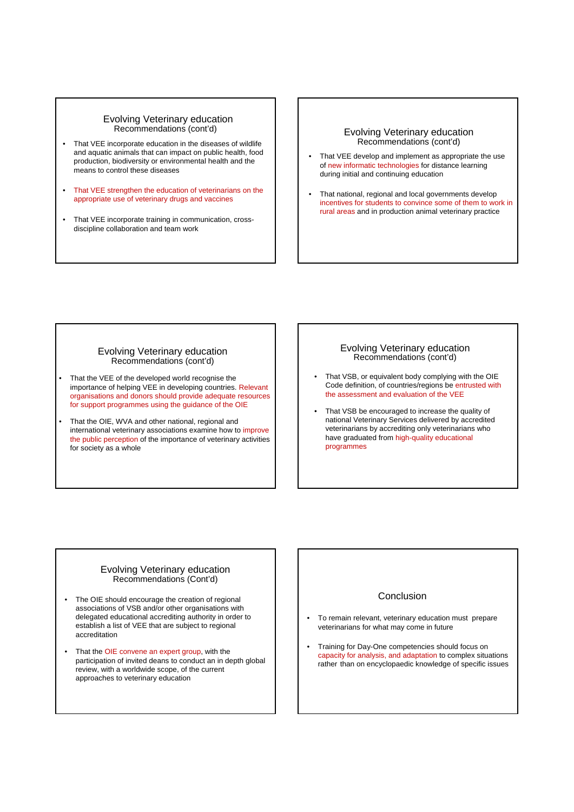#### Evolving Veterinary education Recommendations (cont'd)

- That VEE incorporate education in the diseases of wildlife and aquatic animals that can impact on public health, food production, biodiversity or environmental health and the means to control these diseases
- That VEE strengthen the education of veterinarians on the appropriate use of veterinary drugs and vaccines
- That VEE incorporate training in communication, crossdiscipline collaboration and team work

#### Evolving Veterinary education Recommendations (cont'd)

- That VEE develop and implement as appropriate the use of new informatic technologies for distance learning during initial and continuing education
- That national, regional and local governments develop incentives for students to convince some of them to work in rural areas and in production animal veterinary practice

#### Evolving Veterinary education Recommendations (cont'd)

- That the VEE of the developed world recognise the importance of helping VEE in developing countries. Relevant organisations and donors should provide adequate resources for support programmes using the guidance of the OIE
- That the OIE, WVA and other national, regional and international veterinary associations examine how to improve the public perception of the importance of veterinary activities for society as a whole

#### Evolving Veterinary education Recommendations (cont'd)

- That VSB, or equivalent body complying with the OIE Code definition, of countries/regions be entrusted with the assessment and evaluation of the VEE
- That VSB be encouraged to increase the quality of national Veterinary Services delivered by accredited veterinarians by accrediting only veterinarians who have graduated from high-quality educational programmes

#### Evolving Veterinary education Recommendations (Cont'd)

- The OIE should encourage the creation of regional associations of VSB and/or other organisations with delegated educational accrediting authority in order to establish a list of VEE that are subject to regional accreditation
- That the OIE convene an expert group, with the participation of invited deans to conduct an in depth global review, with a worldwide scope, of the current approaches to veterinary education

### Conclusion

- To remain relevant, veterinary education must prepare veterinarians for what may come in future
- Training for Day-One competencies should focus on capacity for analysis, and adaptation to complex situations rather than on encyclopaedic knowledge of specific issues